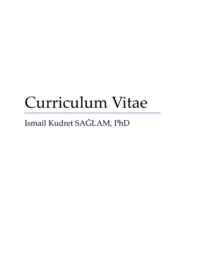# Curriculum Vitae

İsmail Kudret SAĞLAM, PhD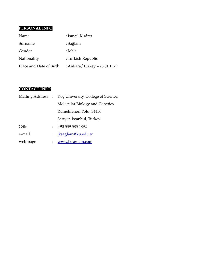# **PERSONAL INFO**

| Name                    | : Ismail Kudret               |
|-------------------------|-------------------------------|
| Surname                 | : Sağlam                      |
| Gender                  | : Male                        |
| Nationality             | : Turkish Republic            |
| Place and Date of Birth | : Ankara/Turkey $-23.01.1979$ |

## **CONTACT INFO**

|            |                           | Mailing Address : Koç University, College of Science, |
|------------|---------------------------|-------------------------------------------------------|
|            |                           | Molecular Biology and Genetics                        |
|            |                           | Rumelifeneri Yolu, 34450                              |
|            |                           | Sariyer, Istanbul, Turkey                             |
| <b>GSM</b> |                           | +90 539 585 1892                                      |
| e-mail     | $\ddot{\phantom{0}}$      | iksaglam@ku.edu.tr                                    |
| web-page   | $\mathbb{R}^{\mathbb{Z}}$ | www.iksaglam.com                                      |
|            |                           |                                                       |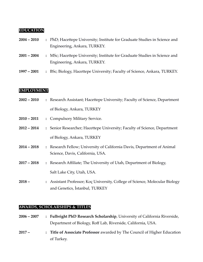#### **EDUCATION**

| $2004 - 2010$ | : PhD; Hacettepe University; Institute for Graduate Studies in Science and                                 |
|---------------|------------------------------------------------------------------------------------------------------------|
|               | Engineering, Ankara, TURKEY.                                                                               |
| $2001 - 2004$ | : MSc; Hacettepe University; Institute for Graduate Studies in Science and<br>Engineering, Ankara, TURKEY. |
| $1997 - 2001$ | : BSc; Biology, Hacettepe University; Faculty of Science, Ankara, TURKEY.                                  |

#### **EMPLOYMENT**

| $2002 - 2010$ | : Research Assistant; Hacettepe University; Faculty of Science, Department                                  |  |
|---------------|-------------------------------------------------------------------------------------------------------------|--|
|               | of Biology, Ankara, TURKEY                                                                                  |  |
| $2010 - 2011$ | : Compulsory Military Service.                                                                              |  |
| $2012 - 2014$ | : Senior Researcher; Hacettepe University; Faculty of Science, Department                                   |  |
|               | of Biology, Ankara, TURKEY                                                                                  |  |
| $2014 - 2018$ | : Research Fellow; University of California Davis, Department of Animal<br>Science, Davis, California, USA. |  |
| $2017 - 2018$ | : Research Affiliate; The University of Utah, Department of Biology,                                        |  |
|               | Salt Lake City, Utah, USA.                                                                                  |  |
| $2018 -$      | • Assistant Professor: Koc University College of Science Molecular Biology                                  |  |

**2018 – :** Assistant Professor; Koç University, College of Science, Molecular Biology and Genetics, İstanbul, TURKEY

## **AWARDS, SCHOLARSHIPS & TITLES**

- **2006 – 2007 : Fulbright PhD Research Scholarship**, University of California Riverside, Department of Biology, Roff Lab, Riverside, California, USA.
- **2017 – : Title of Associate Professor** awarded by The Council of Higher Education of Turkey.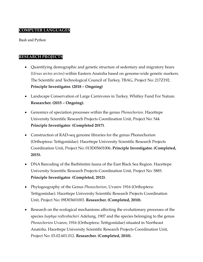#### **COMPUTER LANGUAGES**

Bash and Python

### **RESEARCH PROJECTS**

- Quantifying demographic and genetic structure of sedentary and migratory bears (*Ursus arctos arctos*) within Eastern Anatolia based on genome-wide genetic markers. The Scientific and Technological Council of Turkey, TBAG, Project No: 217Z192. **Principle Investigator. (2018 – Ongoing)**
- Landscape Conservation of Large Carnivores in Turkey. Whitley Fund For Nature. **Researcher. (2015 – Ongoing).**
- Genomics of speciation processes within the genus *Phonochorion*. Hacettepe University Scientific Research Projects Coordination Unit, Project No: 544. **Principle Investigator**. **(Completed 2017)**.
- Construction of RAD-seq genome libraries for the genus Phonochorion (Orthoptera: Tettigoniidae). Hacettepe University Scientific Research Projects Coordination Unit, Project No: 013D05601006**. Principle Investigator. (Completed, 2015).**
- DNA Barcoding of the Barbitistini fauna of the East Black Sea Region. Hacettepe University Scientific Research Projects Coordination Unit, Project No: 5885. **Principle Investigator**. **(Completed, 2012)**.
- Phylogeography of the Genus *Phonochorion*, Uvarov 1916 (Orthoptera: Tettigoniidae). Hacettepe University Scientific Research Projects Coordination Unit, Project No: 09D03601003. **Researcher. (Completed, 2010).**
- Research on the ecological mechanisms affecting the evolutionary processes of the species *Isophya redtenbacheri* Adelung, 1907 and the species belonging to the genus *Phonochorion* Uvarov, 1916 (Orthoptera: Tettigoniidae) situated in Northeast Anatolia. Hacettepe University Scientific Research Projects Coordination Unit, Project No: 03.02.601.012. **Researcher. (Completed, 2010).**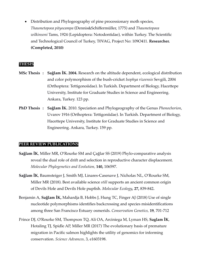• Distribution and Phylogeography of pine processionary moth species, *Thaumetopoea pityocampa* (Dennis&Schiffermüller, 1775) and *Thaumetopoea wilkinsoni* Tams, 1924 (Lepidoptera: Notodontidae), within Turkey. The Scientific and Technological Council of Turkey, T0VAG, Project No: 109O411. **Researcher. (Completed, 2010)**

#### **THESIS**

- **MSc Thesis : Sağlam İK. 2004.** Research on the altitude dependent, ecological distribution and color polymorphism of the bush-cricket *Isophya rizeensis* Sevgili, 2004 (Orthoptera: Tettigonoiidae). In Turkish. Department of Biology, Hacettepe University, Institute for Graduate Studies in Science and Engineering. Ankara, Turkey. 123 pp.
- **PhD Thesis : Sağlam İK.** 2010. Speciation and Phylogeography of the Genus *Phonochorion*, Uvarov 1916 (Orthoptera: Tettigoniidae). In Turkish. Department of Biology, Hacettepe University, Institute for Graduate Studies in Science and Engineering. Ankara, Turkey. 159 pp.

#### **PEER REVIEW PUBLICATIONS**

- **Sağlam İK**, Miller MR, O'Rourke SM and Çağlar SS (2019) Phylo-comparative analysis reveal the dual role of drift and selection in reproductive character displacement. *Molecular Phylogenetics and Evolution,* **140,** 106597.
- **Sağlam İK**, Baumsteiger J, Smith MJ, Linares-Casenave J, Nicholas NL, O'Rourke SM, Miller MR (2018). Best available science *still* supports an ancient common origin of Devils Hole and Devils Hole pupfish. *Molecular Ecology,* **27,** 839-842*.*
- Benjamin A, **Sağlam İK,** Mahardja B, Hobbs J, Hung TC, Finger AJ (2018) Use of single nucleotide polymorphisms identifies backcrossing and species misidentifications among three San Francisco Estuary osmerids. *Conservation Genetics,* **19**, 701-712
- Prince DJ, O'Rourke SM, Thompson TQ, Ali OA, Arciniega M, Lyman HS, **Saglam İK**, Hotaling TJ, Spidle AP, Miller MR (2017) The evolutionary basis of premature migration in Pacific salmon highlights the utility of genomics for informing conservation. *Science Advances,* 3, e1603198.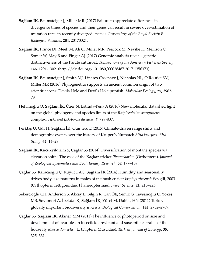- **Sağlam İK**, Baumsteiger J, Miller MR (2017) Failure to appreciate differences in divergence times of species and their genes can result in severe over-estimation of mutation rates in recently diverged species. *Proceedings of the Royal Society B: Biological Sciences,* **284**, 20170021.
- **Sağlam İK**, Prince DJ, Meek M, Ali O, Miller MR, Peacock M, Neville H, Mellison C, Somer W, May B and Finger AJ (2017) Genomic analysis reveals genetic distinctiveness of the Paiute cutthroat. *Transactions of the American Fisheries Society,*  **146,** 1291-1302. (http://dx.doi.org/10.1080/00028487.2017.1356373).
- **Sağlam İK**, Baumsteiger J, Smith MJ, Linares-Casenave J, Nicholas NL, O'Rourke SM, Miller MR (2016) Phylogenetics supports an ancient common origin of two scientific icons: Devils Hole and Devils Hole pupfish. *Molecular Ecology,* **25,** 3962- 73*.*
- Hekimoğlu O, **Sağlam İK**, Özer N, Estrada-Peña A (2016) New molecular data shed light on the global phylogeny and species limits of the *Rhipicephalus sanguineus* complex. *Ticks and tick-borne diseases,* **7**, 798-807.
- Perktaş U, Gür H, **Sağlam İK**, Quintero E (2015) Climate-driven range shifts and demographic events over the history of Kruper's Nuthatch *Sitta krueperi*. *Bird Study*, **62**, 14–28.
- **Sağlam İK**, Küçükyildirim S, Çaǧlar SS (2014) Diversification of montane species via elevation shifts: The case of the Kaçkar cricket *Phonochorion* (Orthoptera). *Journal of Zoological Systematics and Evolutionary Research*, **52**, 177–189.
- Çaǧlar SS, Karacaoǧlu Ç, Kuyucu AC, **Sağlam İK** (2014) Humidity and seasonality drives body size patterns in males of the bush cricket *Isophya rizeensis* Sevgili, 2003 (Orthoptera: Tettigoniidae: Phaneropterinae). *Insect Science*, **21**, 213–226.
- Şekercioğlu ÇH, Anderson S, Akçay E, Bilgin R, Can ÖE, Semiz G, Tavşanoğlu Ç, Yökeş MB, Soyumert A, İpekdal K, **Sağlam İK**, Yücel M, Dalfes, HN (2011) Turkey's globally important biodiversity in crisis. *Biological Conservation*, **144**, 2752–2769.
- Çağlar SS, **Sağlam İK**, Akiner, MM (2011) The influence of photoperiod on size and development of ovarioles in insecticide resistant and susceptible strains of the house fly *Musca domestica* L. (Diptera: Muscidae). *Turkish Journal of Zoology*, **35**, 325–331.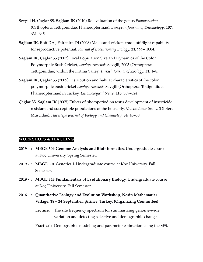- Sevgili H, Caglar SS, **Sağlam İK** (2010) Re-evaluation of the genus *Phonochorion* (Orthoptera: Tettigoniidae: Phaneropterinae). *European Journal of Entomology*, **107**, 631–645.
- **Sağlam İK**, Roff DA., Fairbairn DJ (2008) Male sand crickets trade-off flight capability for reproductive potential. *Journal of Evolutionary Biology*, **21**, 997– 1004.
- **Sağlam İK**, Çağlar SS (2007) Local Population Size and Dynamics of the Color Polymorphic Bush Cricket, *Isophya rizeensis* Sevgili, 2003 (Orthoptera: Tettigoniidae) within the Firtina Valley. *Turkish Journal of Zoology*, **31**, 1–8.
- **Sağlam İK**, Çağlar SS (2005) Distribution and habitat characteristics of the color polymorphic bush-cricket *Isophya rizeensis* Sevgili (Orthoptera: Tettigoniidae: Phaneropterinae) in Turkey. *Entomological News*, **116**, 309–324.
- Çağlar SS, **Sağlam İK** (2005) Effects of photoperiod on testis development of insecticide resistant and susceptible populations of the house fly, *Musca domestica* L. (Diptera: Muscidae). *Hacettepe Journal of Biology and Chemistry*, **34**, 45–50.

#### **WORKSHOPS & TEACHING**

- **2019 - : MBGE 309 Genome Analysis and Bioinformatics.** Undergraduate course at Koç University, Spring Semester.
- **2019 - : MBGE 301 Genetics I.** Undergraduate course at Koç University, Fall Semester.
- **2019 - : MBGE 343 Fundamentals of Evolutionary Biology.** Undergraduate course at Koç University, Fall Semester.
- **2016 : Quantitative Ecology and Evolution Workshop, Nesin Mathematics Village, 18 – 24 September, Şirince, Turkey. (Organizing Committee)**

**Lecture:** The site frequency spectrum for summarizing genome-wide variation and detecting selective and demographic change.

**Practical:** Demographic modeling and parameter estimation using the SFS.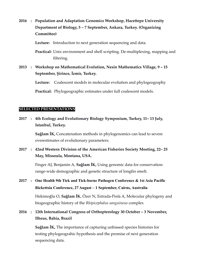**2016 : Population and Adaptation Genomics Workshop, Hacettepe University Department of Biology, 5 – 7 September, Ankara, Turkey. (Organizing Committee)**

**Lecture:** Introduction to next generation sequencing and data.

**Practical:** Unix environment and shell scripting. De-multiplexing, mapping and filtering.

**2013 : Workshop on Mathematical Evolution, Nesin Mathematics Village, 9 – 15 September, Şirince, İzmir, Turkey.**

> **Lecture:** Coalescent models in molecular evolution and phylogeography **Practical:** Phylogeographic estimates under full coalescent models.

#### **SELECTED PRESENTATIONS**

**2017 : 4th Ecology and Evolutionary Biology Symposium, Turkey, 11– 13 July, Istanbul, Turkey.**

> **Sağlam İK,** Concatenation methods in phylogenomics can lead to severe overestimates of evolutionary parameters.

**2017 : 42nd Western Division of the American Fisheries Society Meeting, 22– 25 May, Missoula, Montana, USA.**

> Finger AJ, Benjamin A, **Sağlam İK,** Using genomic data for conservation: range-wide demographic and genetic structure of longfin smelt.

**2017 : One Health 9th Tick and Tick-borne Pathogen Conference & 1st Asia Pacific Rickettsia Conference, 27 August – 1 September, Cairns, Australia**

> Hekimoğlu O, **Sağlam İK**, Özer N, Estrada-Peña A, Molecular phylogeny and biogeographic history of the *Rhipicephalus sanguineus* complex

**2016 : 12th International Congress of Orthopterology 30 October – 3 November, Ilheus, Bahia, Brazil**

> **Sağlam İK,** The importance of capturing unbiased species histories for testing phylogeograhic hypothesis and the promise of next generation sequencing data.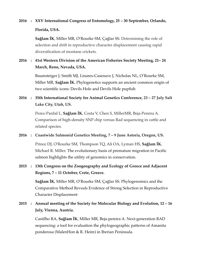# **2016 : XXV International Congress of Entomology, 25 – 30 September, Orlando, Florida, USA.**

**Sağlam İK**, Miller MR, O'Rourke SM, Çağlar SS. Determining the role of selection and drift in reproductive character displacement causing rapid diversification of montane crickets.

## **2016 : 41st Western Division of the American Fisheries Society Meeting, 21– 24 March, Reno, Nevada, USA.**

Baumsteiger J, Smith MJ, Linares-Casenave J, Nicholas NL, O'Rourke SM, Miller MR, **Sağlam İK.** Phylogenetics supports an ancient common origin of two scientific icons: Devils Hole and Devils Hole pupfish

## **2016 : 35th International Society for Animal Genetics Conference, 23 – 27 July Salt Lake City, Utah, US.**

Perez-Pardal L, **Sağlam İK**, Costa V, Chen S, MillerMR, Beja-Pereira A. Comparison of high-density SNP chip versus Rad sequencing in cattle and related species.

## **2016 : Coastwide Salmonid Genetics Meeting, 7 – 9 June Astoria, Oregon, US.**

Prince DJ, O'Rourke SM, Thompson TQ, Ali OA, Lyman HS, **Sağlam İK**, Michael R. Miller. The evolutionary basis of premature migration in Pacific salmon highlights the utility of genomics in conservation.

## **2015 : 13th Congress on the Zoogeography and Ecology of Greece and Adjacent Regions, 7 – 11 October, Crete, Greece.**

**Sağlam İK**, Miller MR, O'Rourke SM, Çağlar SS. Phylogenomics and the Comparative Method Reveals Evidence of Strong Selection in Reproductive Character Displacement

## **2015 : Annual meeting of the Society for Molecular Biology and Evolution, 12 – 16 July, Vienna, Austria.**

Castilho RA, **Sağlam İK**, Miller MR, Beja-pereira A. Next-generation RAD sequencing: a tool for evaluation the phylogeographic patterns of Amanita ponderosa (MalenHon & R. Heim) in Iberian Peninsula.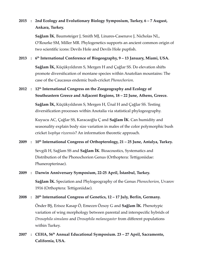## **2015 : 2nd Ecology and Evolutionary Biology Symposium, Turkey, 6 – 7 August, Ankara, Turkey.**

**Sağlam İK**, Baumsteiger J, Smith MJ, Linares-Casenave J, Nicholas NL, O'Rourke SM, Miller MR. Phylogenetics supports an ancient common origin of two scientific icons: Devils Hole and Devils Hole pupfish.

## **2013 : 6th International Conference of Biogeography, 9 – 13 January, Miami, USA.**

**Sağlam İK,** Küçükyıldırım S, Mergen H and Çağlar SS. Do elevation shifts promote diversifıcation of montane species within Anatolian mountains: The case of the Caucasus endemic bush-cricket *Phonochorion*.

## **2012 : 12th International Congress on the Zoogeography and Ecology of Southeastern Greece and Adjacent Regions, 18 – 22 June, Athens, Greece.**

**Sağlam İK,** Küçükyıldırım S, Mergen H, Ünal H and Çağlar SS. Testing diversification processes within Anotalia via statistical phylogeography.

Kuyucu AC, Çağlar SS, Karacaoğlu Ç and **Sağlam İK**. Can humidity and seasonality explain body size variation in males of the color polymorphic bush cricket *Isophya rizeensis*? An information theoretic approach.

## **2009 : 10th International Congress of Orthopterology, 21 – 25 June, Antalya, Turkey.**

Sevgili H, Sağlam SS and **Sağlam İK**. Bioacoustics, Systematics and Distribution of the Phonochorion Genus (Orthoptera: Tettigoniidae: Phaneropterinae).

## **2009 : Darwin Anniversary Symposium, 22-25 April, İstanbul, Turkey.**

**Sağlam İK.** Speciation and Phylogeography of the Genus *Phonochorion*, Uvarov 1916 (Orthoptera: Tettigoniidae).

## **2008 : 20th International Congress of Genetics, 12 – 17 July, Berlin, Germany.**

Önder BŞ, Erisoz Kasap Ö, Emecen Özsoy G and **Sağlam İK**. Phenotypic variation of wing morphology between parental and interspecific hybrids of *Drosophila simulans* and *Drosophila melanogaster* from different populations within Turkey.

## **2007 : CEHA, 56th Annual Educational Symposium. 23 – 27 April, Sacramento, California, USA.**